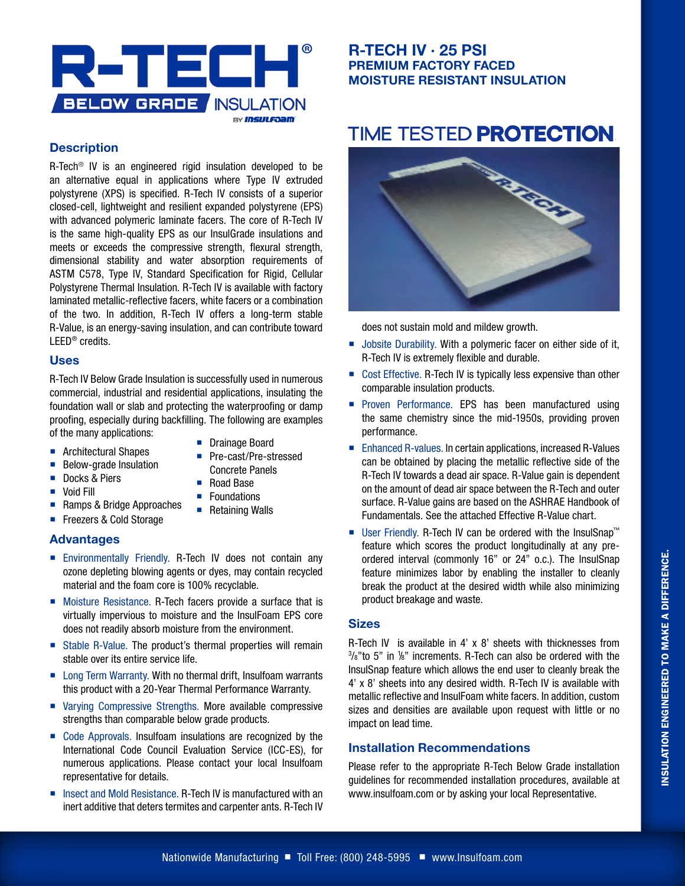

## **R-TECH IV · 25 PSI PREMIUM FACTORY FACED MOISTURE RESISTANT INSULATION**

# TIME TESTED PROTECTION.

### **Description**

R-Tech® IV is an engineered rigid insulation developed to be an alternative equal in applications where Type IV extruded polystyrene (XPS) is specified. R-Tech IV consists of a superior closed-cell, lightweight and resilient expanded polystyrene (EPS) with advanced polymeric laminate facers. The core of R-Tech IV is the same high-quality EPS as our InsulGrade insulations and meets or exceeds the compressive strength, flexural strength, dimensional stability and water absorption requirements of ASTM C578, Type IV, Standard Specification for Rigid, Cellular Polystyrene Thermal Insulation. R-Tech IV is available with factory laminated metallic-reflective facers, white facers or a combination of the two. In addition, R-Tech IV offers a long-term stable R-Value, is an energy-saving insulation, and can contribute toward LEED® credits.

#### **Uses**

R-Tech IV Below Grade Insulation is successfully used in numerous commercial, industrial and residential applications, insulating the foundation wall or slab and protecting the waterproofing or damp proofing, especially during backfilling. The following are examples of the many applications:

- Architectural Shapes
- **Drainage Board**
- **Below-grade Insulation**
- Pre-cast/Pre-stressed Concrete Panels
- Docks & Piers
- **Void Fill**
- Road Base
- Ramps & Bridge Approaches **Foundations** ■ Retaining Walls
- Freezers & Cold Storage
- **Advantages**
- **Environmentally Friendly. R-Tech IV does not contain any** ozone depleting blowing agents or dyes, may contain recycled material and the foam core is 100% recyclable.
- Moisture Resistance. R-Tech facers provide a surface that is virtually impervious to moisture and the InsulFoam EPS core does not readily absorb moisture from the environment.
- Stable R-Value. The product's thermal properties will remain stable over its entire service life.
- Long Term Warranty. With no thermal drift, Insulfoam warrants this product with a 20-Year Thermal Performance Warranty.
- Varying Compressive Strengths. More available compressive strengths than comparable below grade products.
- Code Approvals. Insulfoam insulations are recognized by the International Code Council Evaluation Service (ICC-ES), for numerous applications. Please contact your local Insulfoam representative for details.
- Insect and Mold Resistance. R-Tech IV is manufactured with an inert additive that deters termites and carpenter ants. R-Tech IV



does not sustain mold and mildew growth.

- **Jobsite Durability. With a polymeric facer on either side of it,** R-Tech IV is extremely flexible and durable.
- Cost Effective. R-Tech IV is typically less expensive than other comparable insulation products.
- **Proven Performance. EPS has been manufactured using** the same chemistry since the mid-1950s, providing proven performance.
- Enhanced R-values. In certain applications, increased R-Values can be obtained by placing the metallic reflective side of the R-Tech IV towards a dead air space. R-Value gain is dependent on the amount of dead air space between the R-Tech and outer surface. R-Value gains are based on the ASHRAE Handbook of Fundamentals. See the attached Effective R-Value chart.
- User Friendly. R-Tech IV can be ordered with the InsulSnap™ feature which scores the product longitudinally at any preordered interval (commonly 16" or 24" o.c.). The InsulSnap feature minimizes labor by enabling the installer to cleanly break the product at the desired width while also minimizing product breakage and waste.

#### **Sizes**

R-Tech IV is available in 4' x 8' sheets with thicknesses from  $3/8$ "to 5" in  $1/8$ " increments. R-Tech can also be ordered with the InsulSnap feature which allows the end user to cleanly break the 4' x 8' sheets into any desired width. R-Tech IV is available with metallic reflective and InsulFoam white facers. In addition, custom sizes and densities are available upon request with little or no impact on lead time.

#### **Installation Recommendations**

Please refer to the appropriate R-Tech Below Grade installation guidelines for recommended installation procedures, available at www.insulfoam.com or by asking your local Representative.